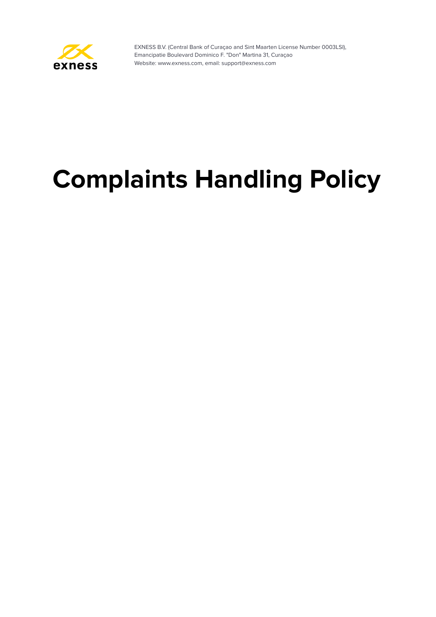

# **Complaints Handling Policy**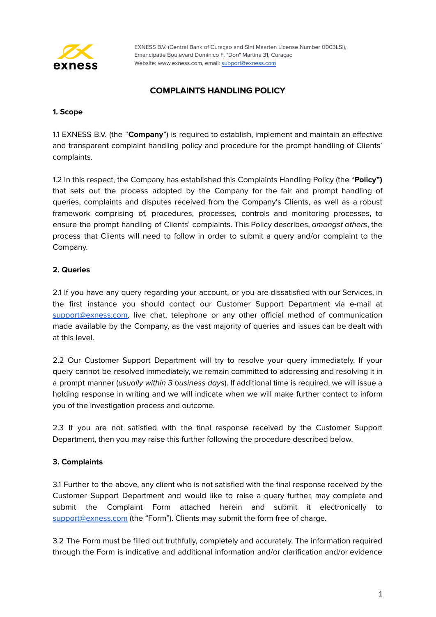

## **COMPLAINTS HANDLING POLICY**

## **1. Scope**

1.1 EXNESS B.V. (the "**Company**") is required to establish, implement and maintain an effective and transparent complaint handling policy and procedure for the prompt handling of Clients' complaints.

1.2 In this respect, the Company has established this Complaints Handling Policy (the "**Policy")** that sets out the process adopted by the Company for the fair and prompt handling of queries, complaints and disputes received from the Company's Clients, as well as a robust framework comprising of, procedures, processes, controls and monitoring processes, to ensure the prompt handling of Clients' complaints. This Policy describes, amongst others, the process that Clients will need to follow in order to submit a query and/or complaint to the Company.

## **2. Queries**

2.1 If you have any query regarding your account, or you are dissatisfied with our Services, in the first instance you should contact our Customer Support Department via e-mail at [support@exness.com,](mailto:support@exness.com) live chat, telephone or any other official method of communication made available by the Company, as the vast majority of queries and issues can be dealt with at this level.

2.2 Our Customer Support Department will try to resolve your query immediately. If your query cannot be resolved immediately, we remain committed to addressing and resolving it in a prompt manner (usually within 3 business days). If additional time is required, we will issue a holding response in writing and we will indicate when we will make further contact to inform you of the investigation process and outcome.

2.3 If you are not satisfied with the final response received by the Customer Support Department, then you may raise this further following the procedure described below.

## **3. Complaints**

3.1 Further to the above, any client who is not satisfied with the final response received by the Customer Support Department and would like to raise a query further, may complete and submit the Complaint Form attached herein and submit it electronically to [support@exness.com](mailto:support@exness.com) (the "Form"). Clients may submit the form free of charge.

3.2 The Form must be filled out truthfully, completely and accurately. The information required through the Form is indicative and additional information and/or clarification and/or evidence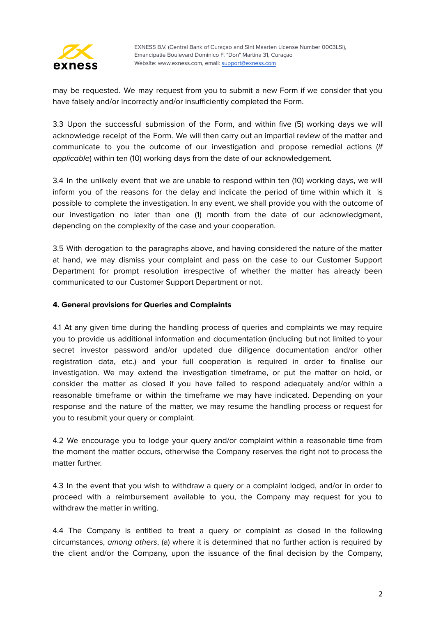

may be requested. We may request from you to submit a new Form if we consider that you have falsely and/or incorrectly and/or insufficiently completed the Form.

3.3 Upon the successful submission of the Form, and within five (5) working days we will acknowledge receipt of the Form. We will then carry out an impartial review of the matter and communicate to you the outcome of our investigation and propose remedial actions (if applicable) within ten (10) working days from the date of our acknowledgement.

3.4 In the unlikely event that we are unable to respond within ten (10) working days, we will inform you of the reasons for the delay and indicate the period of time within which it is possible to complete the investigation. In any event, we shall provide you with the outcome of our investigation no later than one (1) month from the date of our acknowledgment, depending on the complexity of the case and your cooperation.

3.5 With derogation to the paragraphs above, and having considered the nature of the matter at hand, we may dismiss your complaint and pass on the case to our Customer Support Department for prompt resolution irrespective of whether the matter has already been communicated to our Customer Support Department or not.

## **4. General provisions for Queries and Complaints**

4.1 At any given time during the handling process of queries and complaints we may require you to provide us additional information and documentation (including but not limited to your secret investor password and/or updated due diligence documentation and/or other registration data, etc.) and your full cooperation is required in order to finalise our investigation. We may extend the investigation timeframe, or put the matter on hold, or consider the matter as closed if you have failed to respond adequately and/or within a reasonable timeframe or within the timeframe we may have indicated. Depending on your response and the nature of the matter, we may resume the handling process or request for you to resubmit your query or complaint.

4.2 We encourage you to lodge your query and/or complaint within a reasonable time from the moment the matter occurs, otherwise the Company reserves the right not to process the matter further.

4.3 In the event that you wish to withdraw a query or a complaint lodged, and/or in order to proceed with a reimbursement available to you, the Company may request for you to withdraw the matter in writing.

4.4 The Company is entitled to treat a query or complaint as closed in the following circumstances, among others, (a) where it is determined that no further action is required by the client and/or the Company, upon the issuance of the final decision by the Company,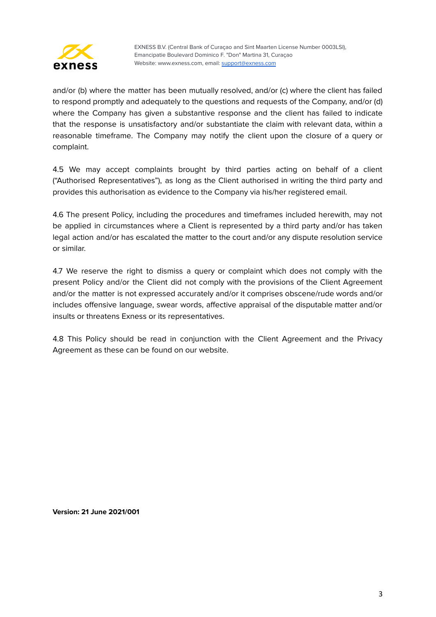

and/or (b) where the matter has been mutually resolved, and/or (c) where the client has failed to respond promptly and adequately to the questions and requests of the Company, and/or (d) where the Company has given a substantive response and the client has failed to indicate that the response is unsatisfactory and/or substantiate the claim with relevant data, within a reasonable timeframe. The Company may notify the client upon the closure of a query or complaint.

4.5 We may accept complaints brought by third parties acting on behalf of a client ("Authorised Representatives"), as long as the Client authorised in writing the third party and provides this authorisation as evidence to the Company via his/her registered email.

4.6 The present Policy, including the procedures and timeframes included herewith, may not be applied in circumstances where a Client is represented by a third party and/or has taken legal action and/or has escalated the matter to the court and/or any dispute resolution service or similar.

4.7 We reserve the right to dismiss a query or complaint which does not comply with the present Policy and/or the Client did not comply with the provisions of the Client Agreement and/or the matter is not expressed accurately and/or it comprises obscene/rude words and/or includes offensive language, swear words, affective appraisal of the disputable matter and/or insults or threatens Exness or its representatives.

4.8 This Policy should be read in conjunction with the Client Agreement and the Privacy Agreement as these can be found on our website.

**Version: 21 June 2021/001**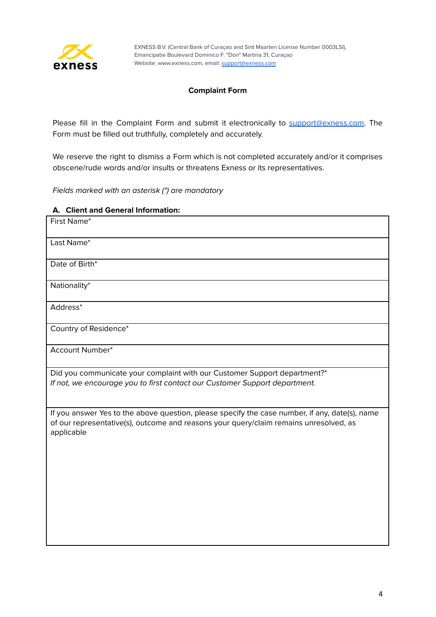

## **Complaint Form**

Please fill in the Complaint Form and submit it electronically to [support@exness.com.](mailto:support@exness.com) The Form must be filled out truthfully, completely and accurately.

We reserve the right to dismiss a Form which is not completed accurately and/or it comprises obscene/rude words and/or insults or threatens Exness or its representatives.

Fields marked with an asterisk (\*) are mandatory

#### **A. Client and General Information:**

| First Name*                                                                                                                                                                                           |
|-------------------------------------------------------------------------------------------------------------------------------------------------------------------------------------------------------|
| Last Name*                                                                                                                                                                                            |
| Date of Birth*                                                                                                                                                                                        |
| Nationality*                                                                                                                                                                                          |
| Address*                                                                                                                                                                                              |
| Country of Residence*                                                                                                                                                                                 |
| Account Number*                                                                                                                                                                                       |
| Did you communicate your complaint with our Customer Support department?*<br>If not, we encourage you to first contact our Customer Support department.                                               |
| If you answer Yes to the above question, please specify the case number, if any, date(s), name<br>of our representative(s), outcome and reasons your query/claim remains unresolved, as<br>applicable |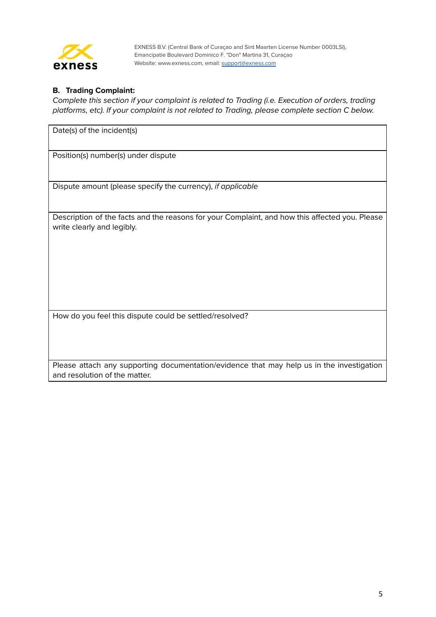

## **B. Trading Complaint:**

Complete this section if your complaint is related to Trading (i.e. Execution of orders, trading platforms, etc). If your complaint is not related to Trading, please complete section C below.

Date(s) of the incident(s)

Position(s) number(s) under dispute

Dispute amount (please specify the currency), if applicable

Description of the facts and the reasons for your Complaint, and how this affected you. Please write clearly and legibly.

How do you feel this dispute could be settled/resolved?

Please attach any supporting documentation/evidence that may help us in the investigation and resolution of the matter.